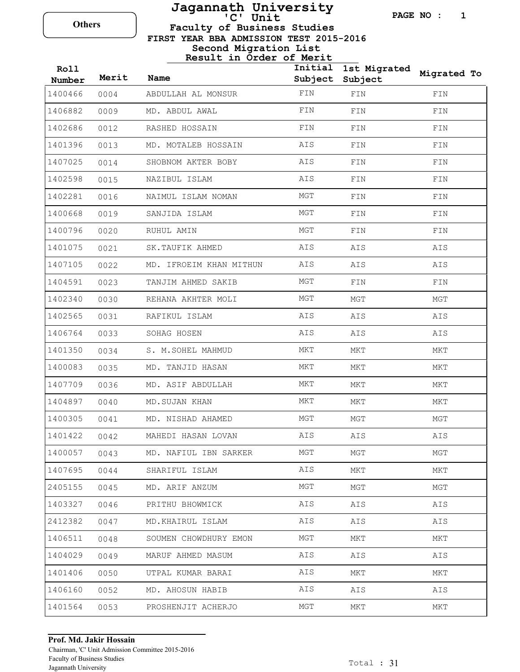## **Faculty of Business Studies Jagannath University** Others **C'** Unit

**PAGE NO : 1**

 **FIRST YEAR BBA ADMISSION TEST 2015-2016**

### **Second Migration List Result in Order of Merit**

| Roll<br>Number | Merit | <b>Name</b>             | Initial<br>Subject | 1st Migrated<br>Subject | Migrated To |
|----------------|-------|-------------------------|--------------------|-------------------------|-------------|
| 1400466        | 0004  | ABDULLAH AL MONSUR      | FIN                | FIN                     | FIN         |
| 1406882        | 0009  | MD. ABDUL AWAL          | FIN                | FIN                     | FIN         |
| 1402686        | 0012  | RASHED HOSSAIN          | FIN                | FIN                     | FIN         |
| 1401396        | 0013  | MD. MOTALEB HOSSAIN     | AIS                | FIN                     | FIN         |
| 1407025        | 0014  | SHOBNOM AKTER BOBY      | AIS                | FIN                     | FIN         |
| 1402598        | 0015  | NAZIBUL ISLAM           | AIS                | FIN                     | FIN         |
| 1402281        | 0016  | NAIMUL ISLAM NOMAN      | MGT                | FIN                     | FIN         |
| 1400668        | 0019  | SANJIDA ISLAM           | MGT                | FIN                     | FIN         |
| 1400796        | 0020  | RUHUL AMIN              | MGT                | FIN                     | FIN         |
| 1401075        | 0021  | SK. TAUFIK AHMED        | AIS                | AIS                     | AIS         |
| 1407105        | 0022  | MD. IFROEIM KHAN MITHUN | AIS                | AIS                     | AIS         |
| 1404591        | 0023  | TANJIM AHMED SAKIB      | MGT                | FIN                     | FIN         |
| 1402340        | 0030  | REHANA AKHTER MOLI      | MGT                | MGT                     | MGT         |
| 1402565        | 0031  | RAFIKUL ISLAM           | AIS                | AIS                     | AIS         |
| 1406764        | 0033  | SOHAG HOSEN             | AIS                | AIS                     | AIS         |
| 1401350        | 0034  | S. M. SOHEL MAHMUD      | MKT                | MKT                     | MKT         |
| 1400083        | 0035  | MD. TANJID HASAN        | MKT                | MKT                     | MKT         |
| 1407709        | 0036  | MD. ASIF ABDULLAH       | MKT                | MKT                     | MKT         |
| 1404897        | 0040  | MD. SUJAN KHAN          | MKT                | MKT                     | MKT         |
| 1400305        | 0041  | MD. NISHAD AHAMED       | MGT                | MGT                     | MGT         |
| 1401422        | 0042  | MAHEDI HASAN LOVAN      | AIS                | AIS                     | AIS         |
| 1400057        | 0043  | MD. NAFIUL IBN SARKER   | MGT                | MGT                     | MGT         |
| 1407695        | 0044  | SHARIFUL ISLAM          | AIS                | MKT                     | MKT         |
| 2405155        | 0045  | MD. ARIF ANZUM          | MGT                | MGT                     | MGT         |
| 1403327        | 0046  | PRITHU BHOWMICK         | AIS                | AIS                     | AIS         |
| 2412382        | 0047  | MD.KHAIRUL ISLAM        | AIS                | AIS                     | AIS         |
| 1406511        | 0048  | SOUMEN CHOWDHURY EMON   | MGT                | MKT                     | MKT         |
| 1404029        | 0049  | MARUF AHMED MASUM       | AIS                | AIS                     | AIS         |
| 1401406        | 0050  | UTPAL KUMAR BARAI       | AIS                | MKT                     | MKT         |
| 1406160        | 0052  | MD. AHOSUN HABIB        | AIS                | AIS                     | AIS         |
| 1401564        | 0053  | PROSHENJIT ACHERJO      | MGT                | MKT                     | MKT         |

### **Prof. Md. Jakir Hossain**

Chairman, 'C' Unit Admission Committee 2015-2016 Faculty of Business Studies Jagannath University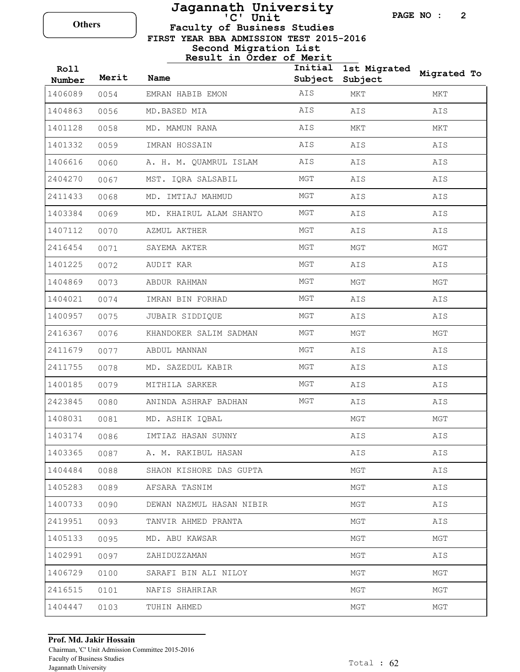### **Faculty of Business Studies Jagannath University** Others **C'** Unit

**PAGE NO : 2**

 **FIRST YEAR BBA ADMISSION TEST 2015-2016**

**Second Migration List Result in Order of Merit**

| Roll<br>Number | Merit | Name                     | Subject | Initial 1st Migrated<br>Subject | Migrated To |
|----------------|-------|--------------------------|---------|---------------------------------|-------------|
| 1406089        | 0054  | EMRAN HABIB EMON         | AIS     | MKT                             | MKT         |
| 1404863        | 0056  | MD.BASED MIA             | AIS     | AIS                             | AIS         |
| 1401128        | 0058  | MD. MAMUN RANA           | AIS     | MKT                             | MKT         |
| 1401332        | 0059  | IMRAN HOSSAIN            | AIS     | AIS                             | AIS         |
| 1406616        | 0060  | A. H. M. QUAMRUL ISLAM   | AIS     | AIS                             | AIS         |
| 2404270        | 0067  | MST. IQRA SALSABIL       | MGT     | AIS                             | AIS         |
| 2411433        | 0068  | MD. IMTIAJ MAHMUD        | MGT     | AIS                             | AIS         |
| 1403384        | 0069  | MD. KHAIRUL ALAM SHANTO  | MGT     | AIS                             | AIS         |
| 1407112        | 0070  | AZMUL AKTHER             | MGT     | AIS                             | AIS         |
| 2416454        | 0071  | SAYEMA AKTER             | MGT     | MGT                             | MGT         |
| 1401225        | 0072  | AUDIT KAR                | MGT     | AIS                             | AIS         |
| 1404869        | 0073  | ABDUR RAHMAN             | MGT     | MGT                             | MGT         |
| 1404021        | 0074  | IMRAN BIN FORHAD         | MGT     | AIS                             | AIS         |
| 1400957        | 0075  | JUBAIR SIDDIQUE          | MGT     | AIS                             | AIS         |
| 2416367        | 0076  | KHANDOKER SALIM SADMAN   | MGT     | MGT                             | MGT         |
| 2411679        | 0077  | ABDUL MANNAN             | MGT     | AIS                             | AIS         |
| 2411755        | 0078  | MD. SAZEDUL KABIR        | MGT     | AIS                             | AIS         |
| 1400185        | 0079  | MITHILA SARKER           | MGT     | AIS                             | AIS         |
| 2423845        | 0080  | ANINDA ASHRAF BADHAN     | MGT     | AIS                             | AIS         |
| 1408031        | 0081  | MD. ASHIK IQBAL          |         | MGT                             | MGT         |
| 1403174        | 0086  | IMTIAZ HASAN SUNNY       |         | AIS                             | AIS         |
| 1403365        | 0087  | A. M. RAKIBUL HASAN      |         | AIS                             | AIS         |
| 1404484        | 0088  | SHAON KISHORE DAS GUPTA  |         | MGT                             | AIS         |
| 1405283        | 0089  | AFSARA TASNIM            |         | MGT                             | AIS         |
| 1400733        | 0090  | DEWAN NAZMUL HASAN NIBIR |         | MGT                             | AIS         |
| 2419951        | 0093  | TANVIR AHMED PRANTA      |         | MGT                             | AIS         |
| 1405133        | 0095  | MD. ABU KAWSAR           |         | MGT                             | MGT         |
| 1402991        | 0097  | ZAHIDUZZAMAN             |         | MGT                             | AIS         |
| 1406729        | 0100  | SARAFI BIN ALI NILOY     |         | MGT                             | MGT         |
| 2416515        | 0101  | NAFIS SHAHRIAR           |         | MGT                             | MGT         |
| 1404447        | 0103  | TUHIN AHMED              |         | MGT                             | MGT         |
|                |       |                          |         |                                 |             |

### **Prof. Md. Jakir Hossain**

Chairman, 'C' Unit Admission Committee 2015-2016 Faculty of Business Studies Jagannath University